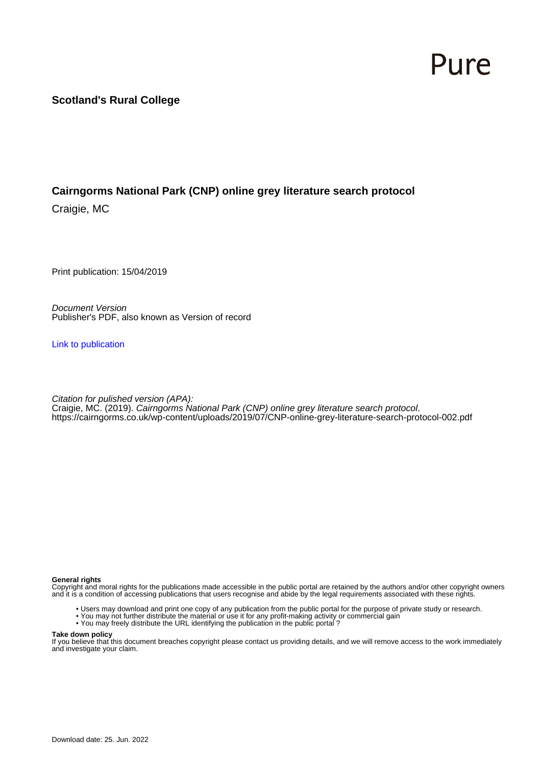# Pure

### **Scotland's Rural College**

## **Cairngorms National Park (CNP) online grey literature search protocol**

Craigie, MC

Print publication: 15/04/2019

Document Version Publisher's PDF, also known as Version of record

[Link to publication](https://pure.sruc.ac.uk/en/publications/27aaa489-b001-4cdb-8241-7501f4746dda)

Citation for pulished version (APA): Craigie, MC. (2019). Cairngorms National Park (CNP) online grey literature search protocol. <https://cairngorms.co.uk/wp-content/uploads/2019/07/CNP-online-grey-literature-search-protocol-002.pdf>

#### **General rights**

Copyright and moral rights for the publications made accessible in the public portal are retained by the authors and/or other copyright owners and it is a condition of accessing publications that users recognise and abide by the legal requirements associated with these rights.

- Users may download and print one copy of any publication from the public portal for the purpose of private study or research.
- You may not further distribute the material or use it for any profit-making activity or commercial gain
- You may freely distribute the URL identifying the publication in the public portal ?

#### **Take down policy**

If you believe that this document breaches copyright please contact us providing details, and we will remove access to the work immediately and investigate your claim.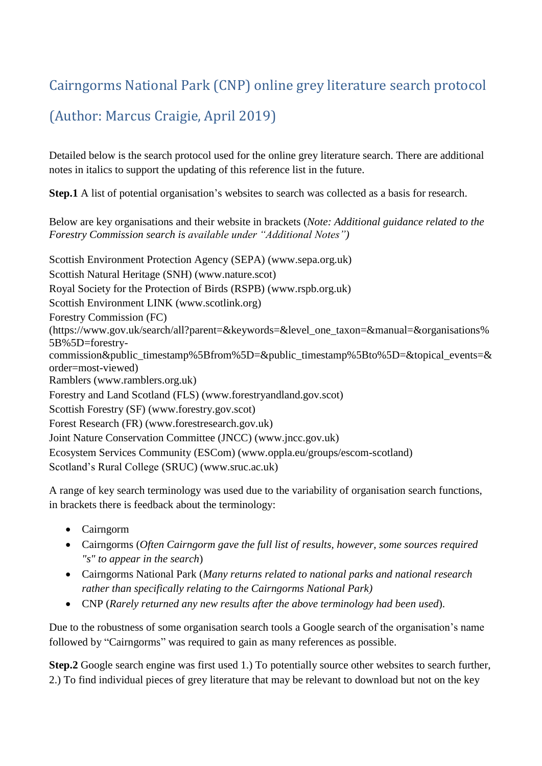# Cairngorms National Park (CNP) online grey literature search protocol

# (Author: Marcus Craigie, April 2019)

Detailed below is the search protocol used for the online grey literature search. There are additional notes in italics to support the updating of this reference list in the future.

**Step.1** A list of potential organisation's websites to search was collected as a basis for research.

Below are key organisations and their website in brackets (*Note: Additional guidance related to the Forestry Commission search is available under "Additional Notes")*

Scottish Environment Protection Agency (SEPA) (www.sepa.org.uk) Scottish Natural Heritage (SNH) (www.nature.scot) Royal Society for the Protection of Birds (RSPB) (www.rspb.org.uk) Scottish Environment LINK (www.scotlink.org) Forestry Commission (FC) (https://www.gov.uk/search/all?parent=&keywords=&level\_one\_taxon=&manual=&organisations% 5B%5D=forestrycommission&public\_timestamp%5Bfrom%5D=&public\_timestamp%5Bto%5D=&topical\_events=& order=most-viewed) Ramblers (www.ramblers.org.uk) Forestry and Land Scotland (FLS) (www.forestryandland.gov.scot) Scottish Forestry (SF) (www.forestry.gov.scot) Forest Research (FR) (www.forestresearch.gov.uk) Joint Nature Conservation Committee (JNCC) (www.jncc.gov.uk) Ecosystem Services Community (ESCom) (www.oppla.eu/groups/escom-scotland) Scotland's Rural College (SRUC) (www.sruc.ac.uk)

A range of key search terminology was used due to the variability of organisation search functions, in brackets there is feedback about the terminology:

- Cairngorm
- Cairngorms (*Often Cairngorm gave the full list of results, however, some sources required "s" to appear in the search*)
- Cairngorms National Park (*Many returns related to national parks and national research rather than specifically relating to the Cairngorms National Park)*
- CNP (*Rarely returned any new results after the above terminology had been used*).

Due to the robustness of some organisation search tools a Google search of the organisation's name followed by "Cairngorms" was required to gain as many references as possible.

**Step.2** Google search engine was first used 1.) To potentially source other websites to search further, 2.) To find individual pieces of grey literature that may be relevant to download but not on the key